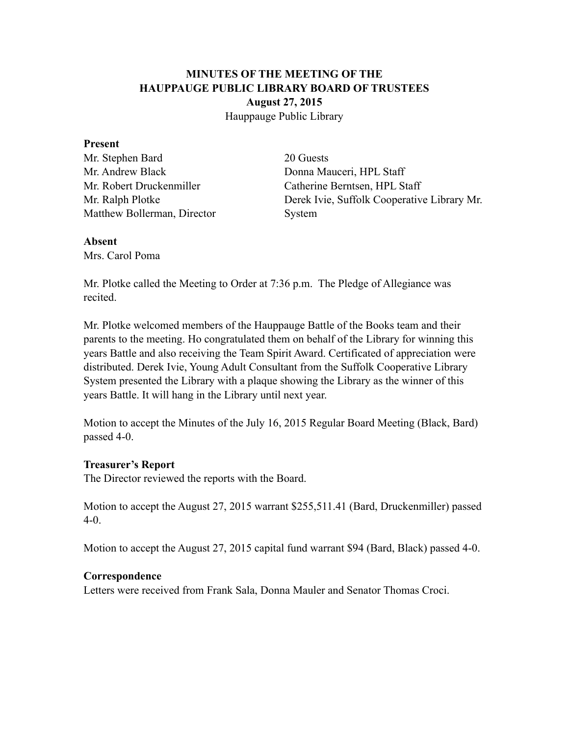# **MINUTES OF THE MEETING OF THE HAUPPAUGE PUBLIC LIBRARY BOARD OF TRUSTEES August 27, 2015** Hauppauge Public Library

#### **Present**

Mr. Stephen Bard 20 Guests Mr. Andrew Black Donna Mauceri, HPL Staff Matthew Bollerman, Director System

Mr. Robert Druckenmiller Catherine Berntsen, HPL Staff Mr. Ralph Plotke Derek Ivie, Suffolk Cooperative Library Mr.

#### **Absent**

Mrs. Carol Poma

Mr. Plotke called the Meeting to Order at 7:36 p.m. The Pledge of Allegiance was recited.

Mr. Plotke welcomed members of the Hauppauge Battle of the Books team and their parents to the meeting. Ho congratulated them on behalf of the Library for winning this years Battle and also receiving the Team Spirit Award. Certificated of appreciation were distributed. Derek Ivie, Young Adult Consultant from the Suffolk Cooperative Library System presented the Library with a plaque showing the Library as the winner of this years Battle. It will hang in the Library until next year.

Motion to accept the Minutes of the July 16, 2015 Regular Board Meeting (Black, Bard) passed 4-0.

## **Treasurer's Report**

The Director reviewed the reports with the Board.

Motion to accept the August 27, 2015 warrant \$255,511.41 (Bard, Druckenmiller) passed 4-0.

Motion to accept the August 27, 2015 capital fund warrant \$94 (Bard, Black) passed 4-0.

## **Correspondence**

Letters were received from Frank Sala, Donna Mauler and Senator Thomas Croci.